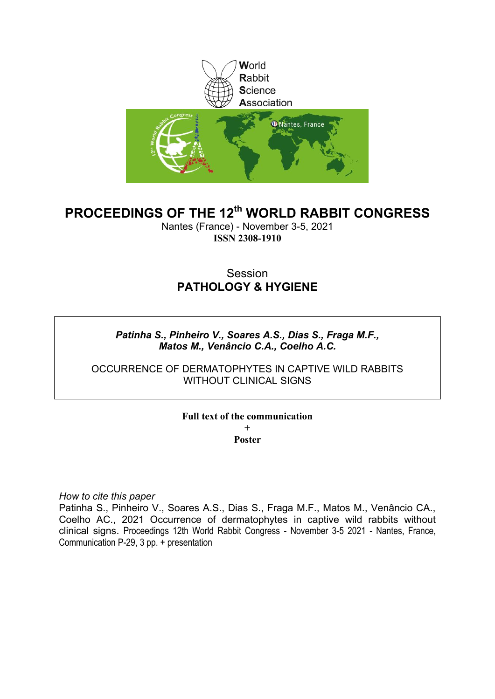

# **PROCEEDINGS OF THE 12th WORLD RABBIT CONGRESS**

Nantes (France) - November 3-5, 2021 **ISSN 2308-1910**

# Session **PATHOLOGY & HYGIENE**

## *Patinha S., Pinheiro V., Soares A.S., Dias S., Fraga M.F., Matos M., Venâncio C.A., Coelho A.C.*

## OCCURRENCE OF DERMATOPHYTES IN CAPTIVE WILD RABBITS WITHOUT CLINICAL SIGNS

## **Full text of the communication + Poster**

*How to cite this paper*

Patinha S., Pinheiro V., Soares A.S., Dias S., Fraga M.F., Matos M., Venâncio CA., Coelho AC., 2021 Occurrence of dermatophytes in captive wild rabbits without clinical signs. Proceedings 12th World Rabbit Congress - November 3-5 2021 - Nantes, France, Communication P-29, 3 pp. + presentation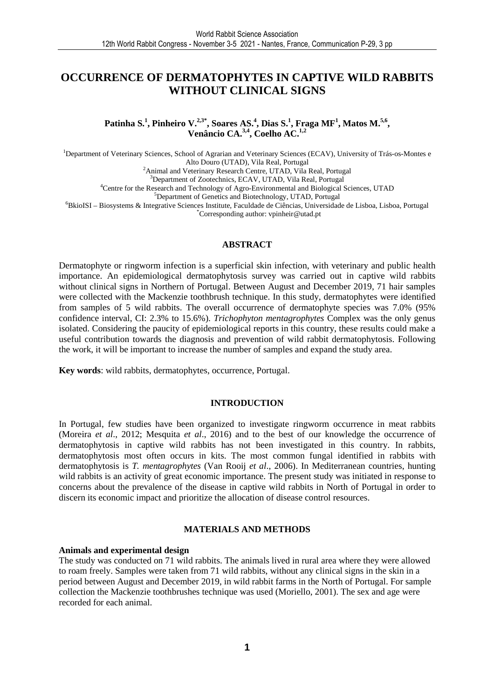# **OCCURRENCE OF DERMATOPHYTES IN CAPTIVE WILD RABBITS WITHOUT CLINICAL SIGNS**

**Patinha S.<sup>1</sup> , Pinheiro V.2,3\*, Soares AS.<sup>4</sup> , Dias S.<sup>1</sup> , Fraga MF<sup>1</sup> , Matos M.5,6 , Venâncio CA.3,4, Coelho AC.1,2** 

<sup>1</sup>Department of Veterinary Sciences, School of Agrarian and Veterinary Sciences (ECAV), University of Trás-os-Montes e Alto Douro (UTAD), Vila Real, Portugal <sup>2</sup> Animal and Veterinary Research Centre, UTAD, Vila Real, Portugal <sup>3</sup>Department of Zootechnics, ECAV, UTAD, Vila Real, Portugal <sup>4</sup>Centre for the Research and Technology of Agro-Environmental and Biological Sciences, UTAD <sup>5</sup>Department of Genetics and Biotechnology, UTAD, Portugal <sup>6</sup>BkioISI – Biosystems & Integrative Sciences Institute, Faculdade de Ciências, Universidade de Lisboa, Lisboa, Portugal

\*Corresponding author: vpinheir@utad.pt

#### **ABSTRACT**

Dermatophyte or ringworm infection is a superficial skin infection, with veterinary and public health importance. An epidemiological dermatophytosis survey was carried out in captive wild rabbits without clinical signs in Northern of Portugal. Between August and December 2019, 71 hair samples were collected with the Mackenzie toothbrush technique. In this study, dermatophytes were identified from samples of 5 wild rabbits. The overall occurrence of dermatophyte species was 7.0% (95% confidence interval, CI: 2.3% to 15.6%). *Trichophyton mentagrophytes* Complex was the only genus isolated. Considering the paucity of epidemiological reports in this country, these results could make a useful contribution towards the diagnosis and prevention of wild rabbit dermatophytosis. Following the work, it will be important to increase the number of samples and expand the study area.

**Key words**: wild rabbits, dermatophytes, occurrence, Portugal.

#### **INTRODUCTION**

In Portugal, few studies have been organized to investigate ringworm occurrence in meat rabbits (Moreira *et al*., 2012; Mesquita *et al*., 2016) and to the best of our knowledge the occurrence of dermatophytosis in captive wild rabbits has not been investigated in this country. In rabbits, dermatophytosis most often occurs in kits. The most common fungal identified in rabbits with dermatophytosis is *T. mentagrophytes* (Van Rooij *et al*., 2006). In Mediterranean countries, hunting wild rabbits is an activity of great economic importance. The present study was initiated in response to concerns about the prevalence of the disease in captive wild rabbits in North of Portugal in order to discern its economic impact and prioritize the allocation of disease control resources.

#### **MATERIALS AND METHODS**

#### **Animals and experimental design**

The study was conducted on 71 wild rabbits. The animals lived in rural area where they were allowed to roam freely. Samples were taken from 71 wild rabbits, without any clinical signs in the skin in a period between August and December 2019, in wild rabbit farms in the North of Portugal. For sample collection the Mackenzie toothbrushes technique was used (Moriello, 2001). The sex and age were recorded for each animal.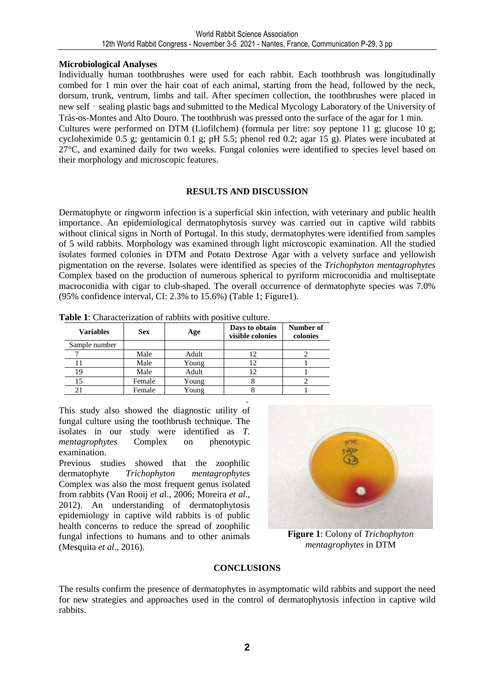### **Microbiological Analyses**

Individually human toothbrushes were used for each rabbit. Each toothbrush was longitudinally combed for 1 min over the hair coat of each animal, starting from the head, followed by the neck, dorsum, trunk, ventrum, limbs and tail. After specimen collection, the toothbrushes were placed in new self - sealing plastic bags and submitted to the Medical Mycology Laboratory of the University of Trás-os-Montes and Alto Douro. The toothbrush was pressed onto the surface of the agar for 1 min.

Cultures were performed on DTM (Liofilchem) (formula per litre: soy peptone 11 g; glucose 10 g; cycloheximide 0.5 g; gentamicin 0.1 g; pH 5.5; phenol red 0.2; agar 15 g). Plates were incubated at 27°C, and examined daily for two weeks. Fungal colonies were identified to species level based on their morphology and microscopic features.

### **RESULTS AND DISCUSSION**

Dermatophyte or ringworm infection is a superficial skin infection, with veterinary and public health importance. An epidemiological dermatophytosis survey was carried out in captive wild rabbits without clinical signs in North of Portugal. In this study, dermatophytes were identified from samples of 5 wild rabbits. Morphology was examined through light microscopic examination. All the studied isolates formed colonies in DTM and Potato Dextrose Agar with a velvety surface and yellowish pigmentation on the reverse. Isolates were identified as species of the *Trichophyton mentagrophytes* Complex based on the production of numerous spherical to pyriform microconidia and multiseptate macroconidia with cigar to club-shaped. The overall occurrence of dermatophyte species was 7.0% (95% confidence interval, CI: 2.3% to 15.6%) (Table 1; Figure1).

| <b>Variables</b> | <b>Sex</b> | Age   | Days to obtain<br>visible colonies | Number of<br>colonies |  |
|------------------|------------|-------|------------------------------------|-----------------------|--|
| Sample number    |            |       |                                    |                       |  |
|                  | Male       | Adult | 12                                 |                       |  |
|                  | Male       | Young |                                    |                       |  |
| 19               | Male       | Adult |                                    |                       |  |
| 15               | Female     | Young |                                    |                       |  |
| 21               | Female     | Young |                                    |                       |  |

| Table 1: Characterization of rabbits with positive culture. |  |  |
|-------------------------------------------------------------|--|--|
|                                                             |  |  |

. This study also showed the diagnostic utility of fungal culture using the toothbrush technique. The isolates in our study were identified as *T. mentagrophytes* Complex on phenotypic examination.

Previous studies showed that the zoophilic dermatophyte *Trichophyton mentagrophytes* Complex was also the most frequent genus isolated from rabbits (Van Rooij *et a*l., 2006; Moreira *et al*., 2012). An understanding of dermatophytosis epidemiology in captive wild rabbits is of public health concerns to reduce the spread of zoophilic fungal infections to humans and to other animals (Mesquita *et al*., 2016).



**Figure 1**: Colony of *Trichophyton mentagrophytes* in DTM

#### **CONCLUSIONS**

The results confirm the presence of dermatophytes in asymptomatic wild rabbits and support the need for new strategies and approaches used in the control of dermatophytosis infection in captive wild rabbits.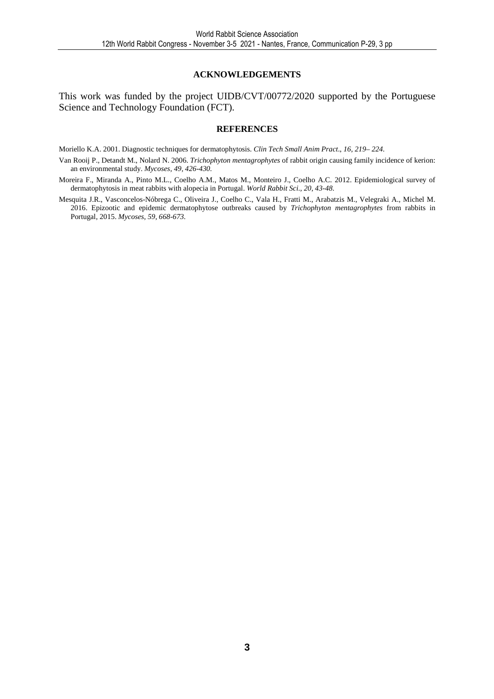#### **ACKNOWLEDGEMENTS**

This work was funded by the project UIDB/CVT/00772/2020 supported by the Portuguese Science and Technology Foundation (FCT).

#### **REFERENCES**

Moriello K.A. 2001. Diagnostic techniques for dermatophytosis. *Clin Tech Small Anim Pract*., *16, 219– 224.* 

- Van Rooij P., Detandt M., Nolard N. 2006. *Trichophyton mentagrophytes* of rabbit origin causing family incidence of kerion: an environmental study. *Mycoses, 49, 426-430.*
- Moreira F., Miranda A., Pinto M.L., Coelho A.M., Matos M., Monteiro J., Coelho A.C. 2012. Epidemiological survey of dermatophytosis in meat rabbits with alopecia in Portugal. *World Rabbit Sci., 20, 43-48.*
- Mesquita J.R., Vasconcelos-Nóbrega C., Oliveira J., Coelho C., Vala H., Fratti M., Arabatzis M., Velegraki A., Michel M. 2016. Epizootic and epidemic dermatophytose outbreaks caused by *Trichophyton mentagrophytes* from rabbits in Portugal, 2015. *Mycoses, 59, 668-673.*